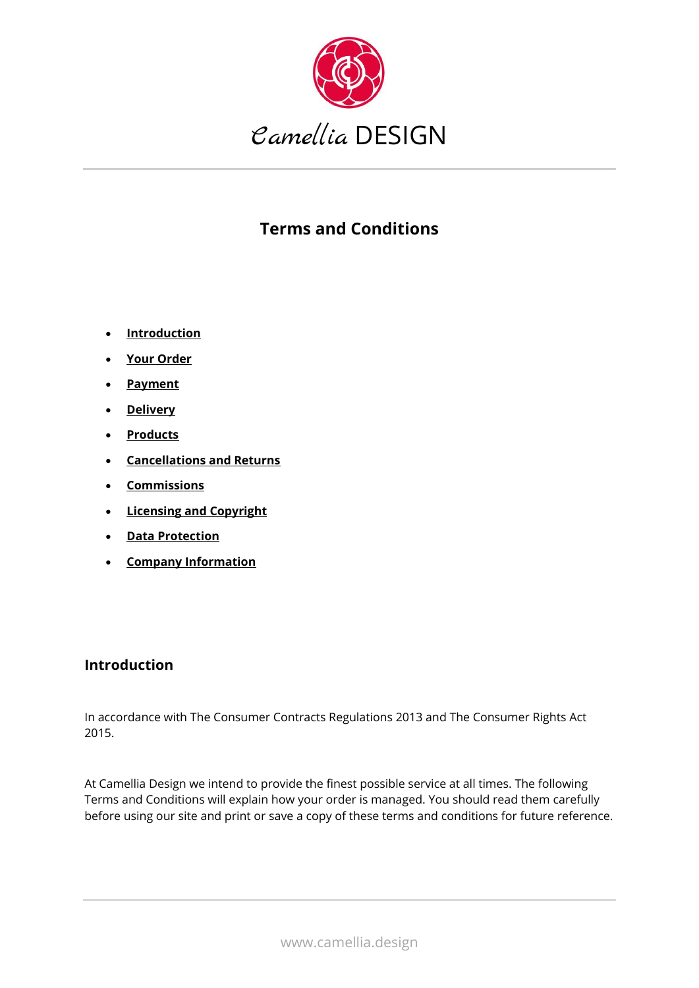

# **Terms and Conditions**

- **[Introduction](https://www.camellia.design/terms-conditions)**
- **[Your Order](https://www.camellia.design/terms-conditions)**
- **[Payment](https://www.camellia.design/terms-conditions)**
- **[Delivery](https://www.camellia.design/terms-conditions)**
- **[Products](https://www.camellia.design/terms-conditions)**
- **[Cancellations and Returns](https://www.camellia.design/terms-conditions)**
- **[Commissions](https://www.camellia.design/terms-conditions)**
- **[Licensing and Copyright](https://www.camellia.design/terms-conditions)**
- **[Data Protection](https://www.camellia.design/terms-conditions)**
- **[Company Information](https://www.camellia.design/terms-conditions)**

#### **Introduction**

In accordance with The Consumer Contracts Regulations 2013 and The Consumer Rights Act 2015.

At Camellia Design we intend to provide the finest possible service at all times. The following Terms and Conditions will explain how your order is managed. You should read them carefully before using our site and print or save a copy of these terms and conditions for future reference.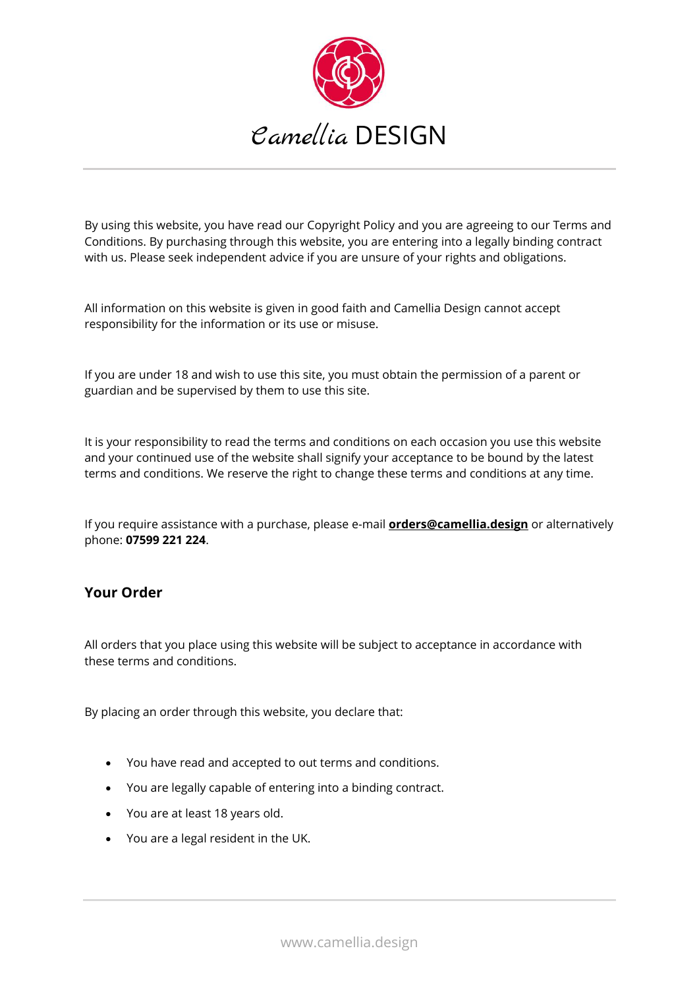

By using this website, you have read our Copyright Policy and you are agreeing to our Terms and Conditions. By purchasing through this website, you are entering into a legally binding contract with us. Please seek independent advice if you are unsure of your rights and obligations.

All information on this website is given in good faith and Camellia Design cannot accept responsibility for the information or its use or misuse.

If you are under 18 and wish to use this site, you must obtain the permission of a parent or guardian and be supervised by them to use this site.

It is your responsibility to read the terms and conditions on each occasion you use this website and your continued use of the website shall signify your acceptance to be bound by the latest terms and conditions. We reserve the right to change these terms and conditions at any time.

If you require assistance with a purchase, please e-mail **[orders@camellia.design](mailto:Orders@camellia.design)** or alternatively phone: **07599 221 224**.

#### **Your Order**

All orders that you place using this website will be subject to acceptance in accordance with these terms and conditions.

By placing an order through this website, you declare that:

- You have read and accepted to out terms and conditions.
- You are legally capable of entering into a binding contract.
- You are at least 18 years old.
- You are a legal resident in the UK.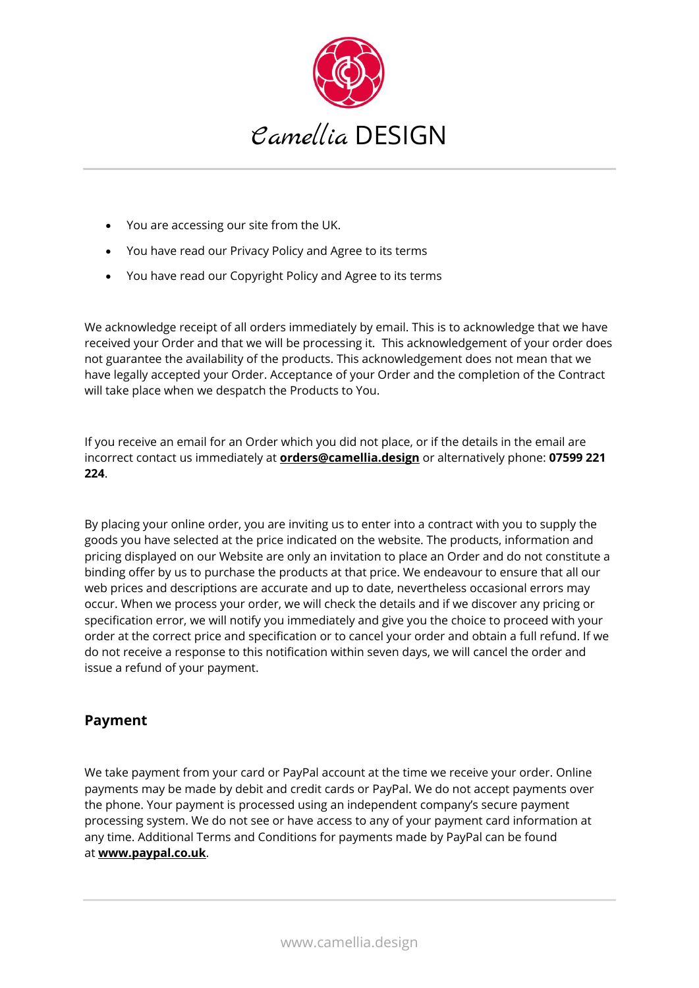

- You are accessing our site from the UK.
- You have read our Privacy Policy and Agree to its terms
- You have read our Copyright Policy and Agree to its terms

We acknowledge receipt of all orders immediately by email. This is to acknowledge that we have received your Order and that we will be processing it. This acknowledgement of your order does not guarantee the availability of the products. This acknowledgement does not mean that we have legally accepted your Order. Acceptance of your Order and the completion of the Contract will take place when we despatch the Products to You.

If you receive an email for an Order which you did not place, or if the details in the email are incorrect contact us immediately at **[orders@camellia.design](mailto:Orders@camellia.design)** or alternatively phone: **07599 221 224**.

By placing your online order, you are inviting us to enter into a contract with you to supply the goods you have selected at the price indicated on the website. The products, information and pricing displayed on our Website are only an invitation to place an Order and do not constitute a binding offer by us to purchase the products at that price. We endeavour to ensure that all our web prices and descriptions are accurate and up to date, nevertheless occasional errors may occur. When we process your order, we will check the details and if we discover any pricing or specification error, we will notify you immediately and give you the choice to proceed with your order at the correct price and specification or to cancel your order and obtain a full refund. If we do not receive a response to this notification within seven days, we will cancel the order and issue a refund of your payment.

## **Payment**

We take payment from your card or PayPal account at the time we receive your order. Online payments may be made by debit and credit cards or PayPal. We do not accept payments over the phone. Your payment is processed using an independent company's secure payment processing system. We do not see or have access to any of your payment card information at any time. Additional Terms and Conditions for payments made by PayPal can be found at **[www.paypal.co.uk](http://www.paypal.co.uk/)**.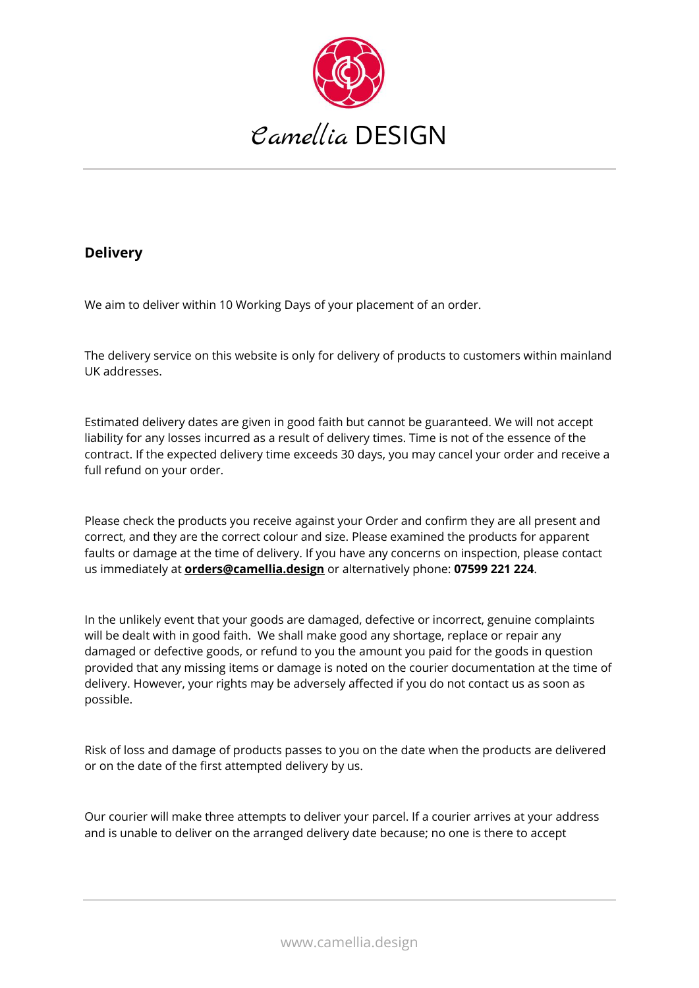

## **Delivery**

We aim to deliver within 10 Working Days of your placement of an order.

The delivery service on this website is only for delivery of products to customers within mainland UK addresses.

Estimated delivery dates are given in good faith but cannot be guaranteed. We will not accept liability for any losses incurred as a result of delivery times. Time is not of the essence of the contract. If the expected delivery time exceeds 30 days, you may cancel your order and receive a full refund on your order.

Please check the products you receive against your Order and confirm they are all present and correct, and they are the correct colour and size. Please examined the products for apparent faults or damage at the time of delivery. If you have any concerns on inspection, please contact us immediately at **[orders@camellia.design](mailto:Orders@camellia.design)** or alternatively phone: **07599 221 224**.

In the unlikely event that your goods are damaged, defective or incorrect, genuine complaints will be dealt with in good faith. We shall make good any shortage, replace or repair any damaged or defective goods, or refund to you the amount you paid for the goods in question provided that any missing items or damage is noted on the courier documentation at the time of delivery. However, your rights may be adversely affected if you do not contact us as soon as possible.

Risk of loss and damage of products passes to you on the date when the products are delivered or on the date of the first attempted delivery by us.

Our courier will make three attempts to deliver your parcel. If a courier arrives at your address and is unable to deliver on the arranged delivery date because; no one is there to accept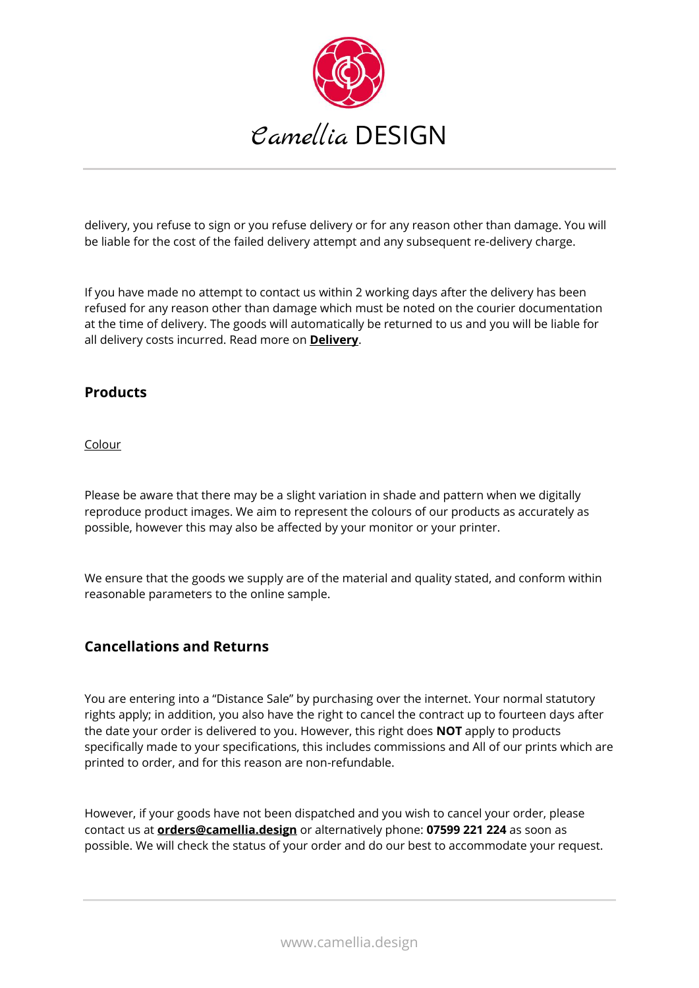

delivery, you refuse to sign or you refuse delivery or for any reason other than damage. You will be liable for the cost of the failed delivery attempt and any subsequent re-delivery charge.

If you have made no attempt to contact us within 2 working days after the delivery has been refused for any reason other than damage which must be noted on the courier documentation at the time of delivery. The goods will automatically be returned to us and you will be liable for all delivery costs incurred. Read more on **[Delivery](https://www.camellia.design/delivery)**.

### **Products**

Colour

Please be aware that there may be a slight variation in shade and pattern when we digitally reproduce product images. We aim to represent the colours of our products as accurately as possible, however this may also be affected by your monitor or your printer.

We ensure that the goods we supply are of the material and quality stated, and conform within reasonable parameters to the online sample.

#### **Cancellations and Returns**

You are entering into a "Distance Sale" by purchasing over the internet. Your normal statutory rights apply; in addition, you also have the right to cancel the contract up to fourteen days after the date your order is delivered to you. However, this right does **NOT** apply to products specifically made to your specifications, this includes commissions and All of our prints which are printed to order, and for this reason are non-refundable.

However, if your goods have not been dispatched and you wish to cancel your order, please contact us at **[orders@camellia.design](mailto:Orders@camellia.design)** or alternatively phone: **07599 221 224** as soon as possible. We will check the status of your order and do our best to accommodate your request.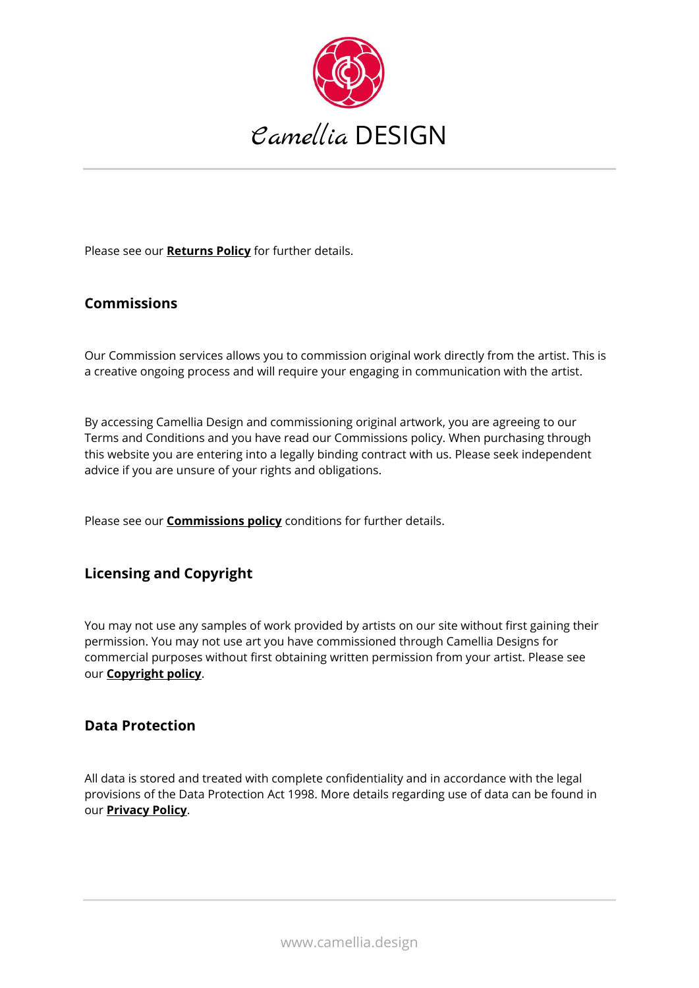

Please see our **[Returns Policy](https://www.camellia.design/returns-policy)** for further details.

#### **Commissions**

Our Commission services allows you to commission original work directly from the artist. This is a creative ongoing process and will require your engaging in communication with the artist.

By accessing Camellia Design and commissioning original artwork, you are agreeing to our Terms and Conditions and you have read our Commissions policy. When purchasing through this website you are entering into a legally binding contract with us. Please seek independent advice if you are unsure of your rights and obligations.

Please see our **[Commissions policy](https://www.camellia.design/comissions-policy)** conditions for further details.

#### **Licensing and Copyright**

You may not use any samples of work provided by artists on our site without first gaining their permission. You may not use art you have commissioned through Camellia Designs for commercial purposes without first obtaining written permission from your artist. Please see our **[Copyright policy](https://www.camellia.design/copyright-policy)**.

#### **Data Protection**

All data is stored and treated with complete confidentiality and in accordance with the legal provisions of the Data Protection Act 1998. More details regarding use of data can be found in our **[Privacy Policy](https://www.camellia.design/privicy-policy)**.